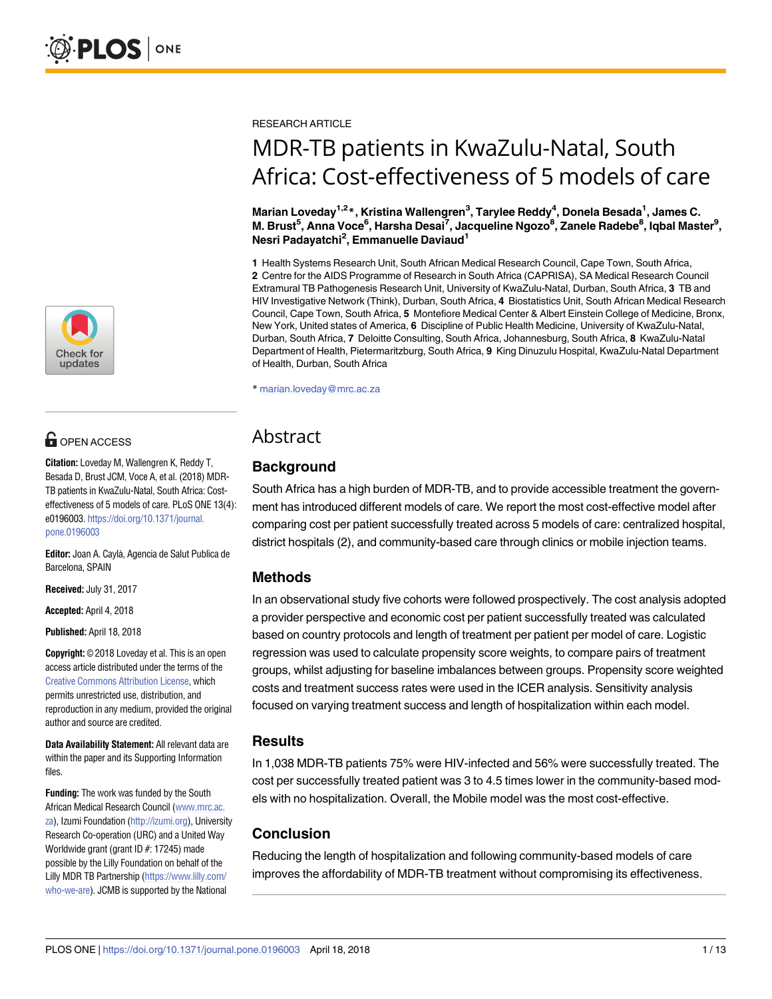

# **G** OPEN ACCESS

**Citation:** Loveday M, Wallengren K, Reddy T, Besada D, Brust JCM, Voce A, et al. (2018) MDR-TB patients in KwaZulu-Natal, South Africa: Costeffectiveness of 5 models of care. PLoS ONE 13(4): e0196003. [https://doi.org/10.1371/journal.](https://doi.org/10.1371/journal.pone.0196003) [pone.0196003](https://doi.org/10.1371/journal.pone.0196003)

**Editor:** Joan A. Caylà, Agencia de Salut Publica de Barcelona, SPAIN

**Received:** July 31, 2017

**Accepted:** April 4, 2018

**Published:** April 18, 2018

**Copyright:** © 2018 Loveday et al. This is an open access article distributed under the terms of the Creative Commons [Attribution](http://creativecommons.org/licenses/by/4.0/) License, which permits unrestricted use, distribution, and reproduction in any medium, provided the original author and source are credited.

**Data Availability Statement:** All relevant data are within the paper and its Supporting Information files.

**Funding:** The work was funded by the South African Medical Research Council [\(www.mrc.ac.](http://www.mrc.ac.za) [za](http://www.mrc.ac.za)), Izumi Foundation ([http://izumi.org\)](http://izumi.org), University Research Co-operation (URC) and a United Way Worldwide grant (grant ID #: 17245) made possible by the Lilly Foundation on behalf of the Lilly MDR TB Partnership [\(https://www.lilly.com/](https://www.lilly.com/who-we-are) [who-we-are](https://www.lilly.com/who-we-are)). JCMB is supported by the National

RESEARCH ARTICLE

# MDR-TB patients in KwaZulu-Natal, South Africa: Cost-effectiveness of 5 models of care

**Marian Loveday1,2\*, Kristina Wallengren3 , Tarylee Reddy4 , Donela Besada1 , James C. M. Brust5 , Anna Voce6 , Harsha Desai7 , Jacqueline Ngozo8 , Zanele Radebe8 , Iqbal Master9 , Nesri Padayatchi2 , Emmanuelle Daviaud1**

**1** Health Systems Research Unit, South African Medical Research Council, Cape Town, South Africa, **2** Centre for the AIDS Programme of Research in South Africa (CAPRISA), SA Medical Research Council Extramural TB Pathogenesis Research Unit, University of KwaZulu-Natal, Durban, South Africa, **3** TB and HIV Investigative Network (Think), Durban, South Africa, **4** Biostatistics Unit, South African Medical Research Council, Cape Town, South Africa, **5** Montefiore Medical Center & Albert Einstein College of Medicine, Bronx, New York, United states of America, **6** Discipline of Public Health Medicine, University of KwaZulu-Natal, Durban, South Africa, **7** Deloitte Consulting, South Africa, Johannesburg, South Africa, **8** KwaZulu-Natal Department of Health, Pietermaritzburg, South Africa, **9** King Dinuzulu Hospital, KwaZulu-Natal Department of Health, Durban, South Africa

\* marian.loveday@mrc.ac.za

# Abstract

# **Background**

South Africa has a high burden of MDR-TB, and to provide accessible treatment the government has introduced different models of care. We report the most cost-effective model after comparing cost per patient successfully treated across 5 models of care: centralized hospital, district hospitals (2), and community-based care through clinics or mobile injection teams.

# **Methods**

In an observational study five cohorts were followed prospectively. The cost analysis adopted a provider perspective and economic cost per patient successfully treated was calculated based on country protocols and length of treatment per patient per model of care. Logistic regression was used to calculate propensity score weights, to compare pairs of treatment groups, whilst adjusting for baseline imbalances between groups. Propensity score weighted costs and treatment success rates were used in the ICER analysis. Sensitivity analysis focused on varying treatment success and length of hospitalization within each model.

# **Results**

In 1,038 MDR-TB patients 75% were HIV-infected and 56% were successfully treated. The cost per successfully treated patient was 3 to 4.5 times lower in the community-based models with no hospitalization. Overall, the Mobile model was the most cost-effective.

# **Conclusion**

Reducing the length of hospitalization and following community-based models of care improves the affordability of MDR-TB treatment without compromising its effectiveness.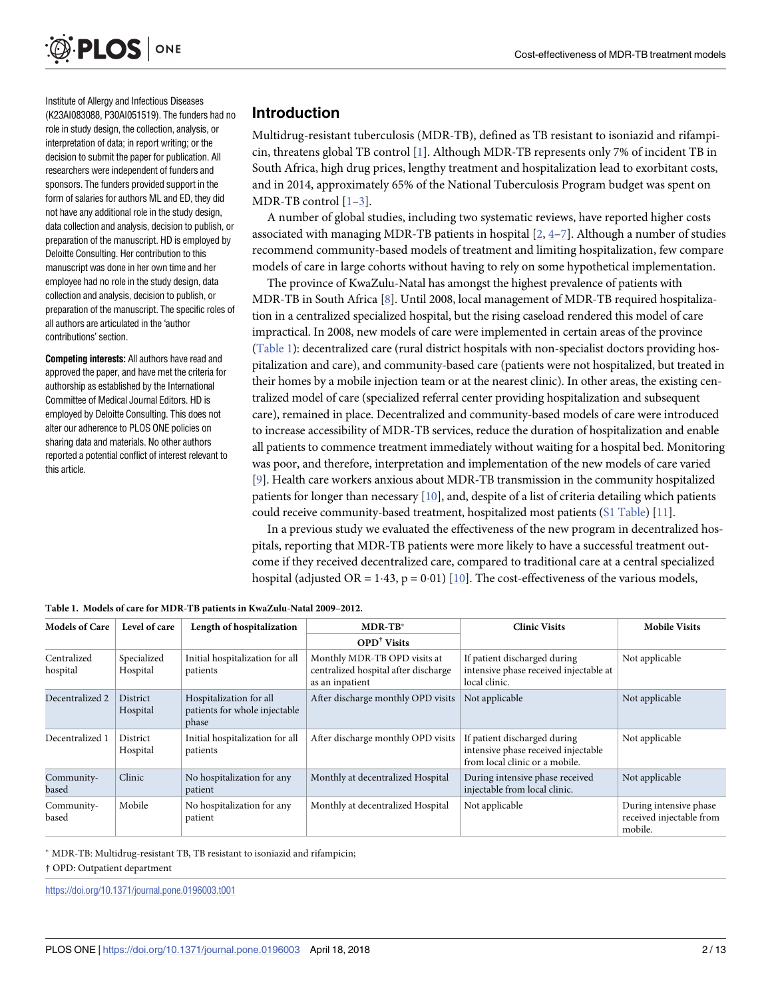<span id="page-1-0"></span>

Institute of Allergy and Infectious Diseases (K23AI083088, P30AI051519). The funders had no role in study design, the collection, analysis, or interpretation of data; in report writing; or the decision to submit the paper for publication. All researchers were independent of funders and sponsors. The funders provided support in the form of salaries for authors ML and ED, they did not have any additional role in the study design, data collection and analysis, decision to publish, or preparation of the manuscript. HD is employed by Deloitte Consulting. Her contribution to this manuscript was done in her own time and her employee had no role in the study design, data collection and analysis, decision to publish, or preparation of the manuscript. The specific roles of all authors are articulated in the 'author contributions' section.

**Competing interests:** All authors have read and approved the paper, and have met the criteria for authorship as established by the International Committee of Medical Journal Editors. HD is employed by Deloitte Consulting. This does not alter our adherence to PLOS ONE policies on sharing data and materials. No other authors reported a potential conflict of interest relevant to this article.

# **Introduction**

Multidrug-resistant tuberculosis (MDR-TB), defined as TB resistant to isoniazid and rifampicin, threatens global TB control [[1\]](#page-11-0). Although MDR-TB represents only 7% of incident TB in South Africa, high drug prices, lengthy treatment and hospitalization lead to exorbitant costs, and in 2014, approximately 65% of the National Tuberculosis Program budget was spent on MDR-TB control  $[1-3]$  $[1-3]$  $[1-3]$  $[1-3]$  $[1-3]$ .

A number of global studies, including two systematic reviews, have reported higher costs associated with managing MDR-TB patients in hospital  $[2, 4-7]$  $[2, 4-7]$  $[2, 4-7]$ . Although a number of studies recommend community-based models of treatment and limiting hospitalization, few compare models of care in large cohorts without having to rely on some hypothetical implementation.

The province of KwaZulu-Natal has amongst the highest prevalence of patients with MDR-TB in South Africa [\[8\]](#page-11-0). Until 2008, local management of MDR-TB required hospitalization in a centralized specialized hospital, but the rising caseload rendered this model of care impractical. In 2008, new models of care were implemented in certain areas of the province (Table 1): decentralized care (rural district hospitals with non-specialist doctors providing hospitalization and care), and community-based care (patients were not hospitalized, but treated in their homes by a mobile injection team or at the nearest clinic). In other areas, the existing centralized model of care (specialized referral center providing hospitalization and subsequent care), remained in place. Decentralized and community-based models of care were introduced to increase accessibility of MDR-TB services, reduce the duration of hospitalization and enable all patients to commence treatment immediately without waiting for a hospital bed. Monitoring was poor, and therefore, interpretation and implementation of the new models of care varied [\[9](#page-11-0)]. Health care workers anxious about MDR-TB transmission in the community hospitalized patients for longer than necessary [\[10\]](#page-11-0), and, despite of a list of criteria detailing which patients could receive community-based treatment, hospitalized most patients (S1 [Table](#page-10-0)) [\[11](#page-11-0)].

In a previous study we evaluated the effectiveness of the new program in decentralized hospitals, reporting that MDR-TB patients were more likely to have a successful treatment outcome if they received decentralized care, compared to traditional care at a central specialized hospital (adjusted OR = 1.43,  $p = 0.01$ ) [[10](#page-11-0)]. The cost-effectiveness of the various models,

| <b>Models of Care</b>   | Level of care           | Length of hospitalization                                         | $MDR-TB*$                                                                               | <b>Clinic Visits</b>                                                                                  | <b>Mobile Visits</b>                                          |  |
|-------------------------|-------------------------|-------------------------------------------------------------------|-----------------------------------------------------------------------------------------|-------------------------------------------------------------------------------------------------------|---------------------------------------------------------------|--|
|                         |                         |                                                                   | OPD <sup>†</sup> Visits                                                                 |                                                                                                       |                                                               |  |
| Centralized<br>hospital | Specialized<br>Hospital | Initial hospitalization for all<br>patients                       | Monthly MDR-TB OPD visits at<br>centralized hospital after discharge<br>as an inpatient | If patient discharged during<br>intensive phase received injectable at<br>local clinic.               | Not applicable                                                |  |
| Decentralized 2         | District<br>Hospital    | Hospitalization for all<br>patients for whole injectable<br>phase | After discharge monthly OPD visits                                                      | Not applicable                                                                                        | Not applicable                                                |  |
| Decentralized 1         | District<br>Hospital    | Initial hospitalization for all<br>patients                       | After discharge monthly OPD visits                                                      | If patient discharged during<br>intensive phase received injectable<br>from local clinic or a mobile. | Not applicable                                                |  |
| Community-<br>based     | Clinic                  | No hospitalization for any<br>patient                             | Monthly at decentralized Hospital                                                       | During intensive phase received<br>injectable from local clinic.                                      | Not applicable                                                |  |
| Community-<br>based     | Mobile                  | No hospitalization for any<br>patient                             | Monthly at decentralized Hospital                                                       | Not applicable                                                                                        | During intensive phase<br>received injectable from<br>mobile. |  |

| Table 1. Models of care for MDR-TB patients in KwaZulu-Natal 2009–2012. |  |
|-------------------------------------------------------------------------|--|
|-------------------------------------------------------------------------|--|

MDR-TB: Multidrug-resistant TB, TB resistant to isoniazid and rifampicin;

† OPD: Outpatient department

<https://doi.org/10.1371/journal.pone.0196003.t001>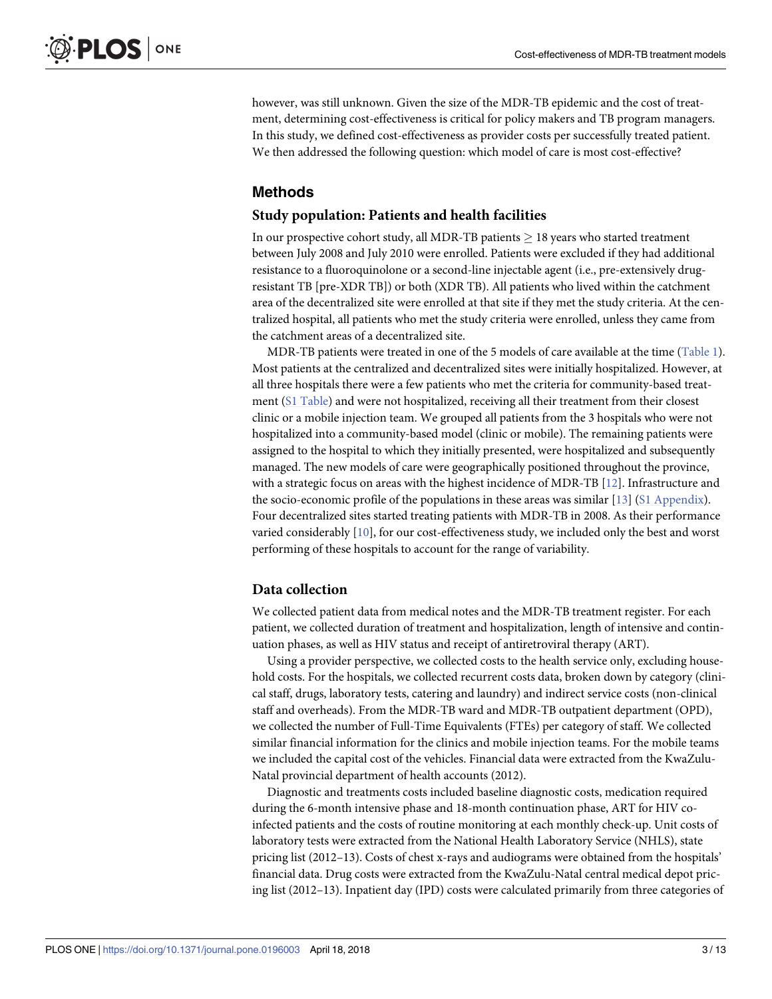<span id="page-2-0"></span>however, was still unknown. Given the size of the MDR-TB epidemic and the cost of treatment, determining cost-effectiveness is critical for policy makers and TB program managers. In this study, we defined cost-effectiveness as provider costs per successfully treated patient. We then addressed the following question: which model of care is most cost-effective?

# **Methods**

#### **Study population: Patients and health facilities**

In our prospective cohort study, all MDR-TB patients  $\geq$  18 years who started treatment between July 2008 and July 2010 were enrolled. Patients were excluded if they had additional resistance to a fluoroquinolone or a second-line injectable agent (i.e., pre-extensively drugresistant TB [pre-XDR TB]) or both (XDR TB). All patients who lived within the catchment area of the decentralized site were enrolled at that site if they met the study criteria. At the centralized hospital, all patients who met the study criteria were enrolled, unless they came from the catchment areas of a decentralized site.

MDR-TB patients were treated in one of the 5 models of care available at the time ([Table](#page-1-0) 1). Most patients at the centralized and decentralized sites were initially hospitalized. However, at all three hospitals there were a few patients who met the criteria for community-based treatment (S1 [Table](#page-10-0)) and were not hospitalized, receiving all their treatment from their closest clinic or a mobile injection team. We grouped all patients from the 3 hospitals who were not hospitalized into a community-based model (clinic or mobile). The remaining patients were assigned to the hospital to which they initially presented, were hospitalized and subsequently managed. The new models of care were geographically positioned throughout the province, with a strategic focus on areas with the highest incidence of MDR-TB [[12](#page-11-0)]. Infrastructure and the socio-economic profile of the populations in these areas was similar [[13](#page-11-0)] (S1 [Appendix](#page-10-0)). Four decentralized sites started treating patients with MDR-TB in 2008. As their performance varied considerably [\[10\]](#page-11-0), for our cost-effectiveness study, we included only the best and worst performing of these hospitals to account for the range of variability.

#### **Data collection**

We collected patient data from medical notes and the MDR-TB treatment register. For each patient, we collected duration of treatment and hospitalization, length of intensive and continuation phases, as well as HIV status and receipt of antiretroviral therapy (ART).

Using a provider perspective, we collected costs to the health service only, excluding household costs. For the hospitals, we collected recurrent costs data, broken down by category (clinical staff, drugs, laboratory tests, catering and laundry) and indirect service costs (non-clinical staff and overheads). From the MDR-TB ward and MDR-TB outpatient department (OPD), we collected the number of Full-Time Equivalents (FTEs) per category of staff. We collected similar financial information for the clinics and mobile injection teams. For the mobile teams we included the capital cost of the vehicles. Financial data were extracted from the KwaZulu-Natal provincial department of health accounts (2012).

Diagnostic and treatments costs included baseline diagnostic costs, medication required during the 6-month intensive phase and 18-month continuation phase, ART for HIV coinfected patients and the costs of routine monitoring at each monthly check-up. Unit costs of laboratory tests were extracted from the National Health Laboratory Service (NHLS), state pricing list (2012–13). Costs of chest x-rays and audiograms were obtained from the hospitals' financial data. Drug costs were extracted from the KwaZulu-Natal central medical depot pricing list (2012–13). Inpatient day (IPD) costs were calculated primarily from three categories of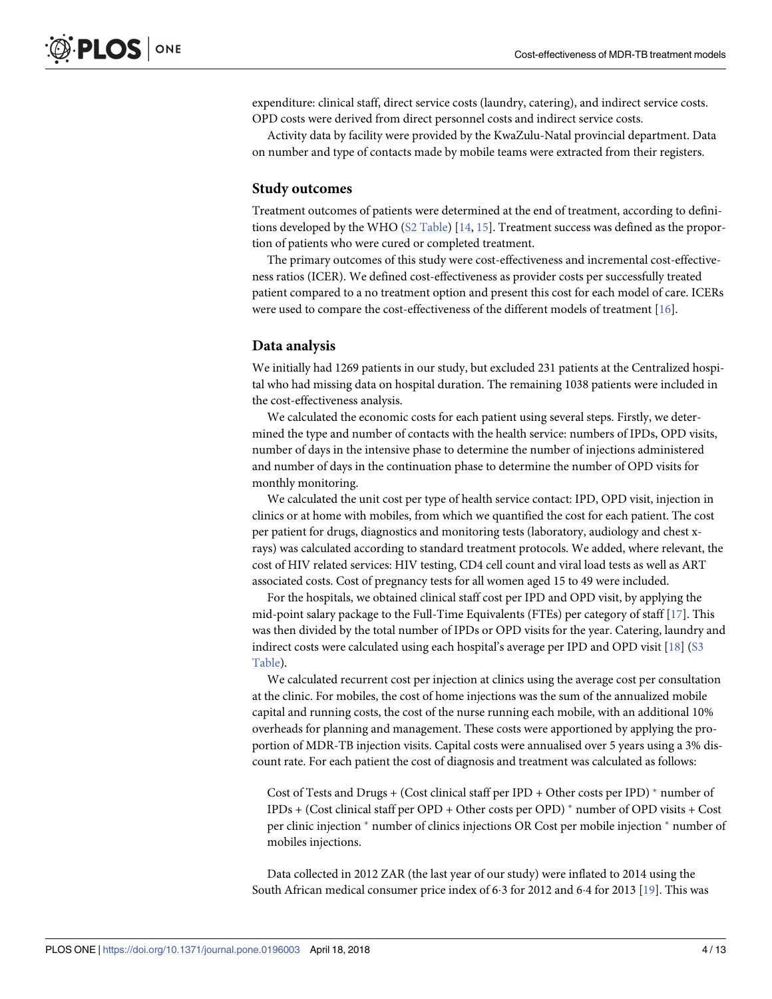<span id="page-3-0"></span>expenditure: clinical staff, direct service costs (laundry, catering), and indirect service costs. OPD costs were derived from direct personnel costs and indirect service costs.

Activity data by facility were provided by the KwaZulu-Natal provincial department. Data on number and type of contacts made by mobile teams were extracted from their registers.

#### **Study outcomes**

Treatment outcomes of patients were determined at the end of treatment, according to definitions developed by the WHO ( $S2$  [Table](#page-10-0)) [\[14,](#page-11-0) [15\]](#page-11-0). Treatment success was defined as the proportion of patients who were cured or completed treatment.

The primary outcomes of this study were cost-effectiveness and incremental cost-effectiveness ratios (ICER). We defined cost-effectiveness as provider costs per successfully treated patient compared to a no treatment option and present this cost for each model of care. ICERs were used to compare the cost-effectiveness of the different models of treatment [[16](#page-11-0)].

#### **Data analysis**

We initially had 1269 patients in our study, but excluded 231 patients at the Centralized hospital who had missing data on hospital duration. The remaining 1038 patients were included in the cost-effectiveness analysis.

We calculated the economic costs for each patient using several steps. Firstly, we determined the type and number of contacts with the health service: numbers of IPDs, OPD visits, number of days in the intensive phase to determine the number of injections administered and number of days in the continuation phase to determine the number of OPD visits for monthly monitoring.

We calculated the unit cost per type of health service contact: IPD, OPD visit, injection in clinics or at home with mobiles, from which we quantified the cost for each patient. The cost per patient for drugs, diagnostics and monitoring tests (laboratory, audiology and chest xrays) was calculated according to standard treatment protocols. We added, where relevant, the cost of HIV related services: HIV testing, CD4 cell count and viral load tests as well as ART associated costs. Cost of pregnancy tests for all women aged 15 to 49 were included.

For the hospitals, we obtained clinical staff cost per IPD and OPD visit, by applying the mid-point salary package to the Full-Time Equivalents (FTEs) per category of staff [[17](#page-11-0)]. This was then divided by the total number of IPDs or OPD visits for the year. Catering, laundry and indirect costs were calculated using each hospital's average per IPD and OPD visit [\[18\]](#page-11-0) ([S3](#page-10-0) [Table](#page-10-0)).

We calculated recurrent cost per injection at clinics using the average cost per consultation at the clinic. For mobiles, the cost of home injections was the sum of the annualized mobile capital and running costs, the cost of the nurse running each mobile, with an additional 10% overheads for planning and management. These costs were apportioned by applying the proportion of MDR-TB injection visits. Capital costs were annualised over 5 years using a 3% discount rate. For each patient the cost of diagnosis and treatment was calculated as follows:

Cost of Tests and Drugs + (Cost clinical staff per IPD + Other costs per IPD)  $*$  number of  $IPDs +$  (Cost clinical staff per OPD + Other costs per OPD)  $*$  number of OPD visits + Cost per clinic injection  $*$  number of clinics injections OR Cost per mobile injection  $*$  number of mobiles injections.

Data collected in 2012 ZAR (the last year of our study) were inflated to 2014 using the South African medical consumer price index of 63 for 2012 and 64 for 2013 [\[19\]](#page-11-0). This was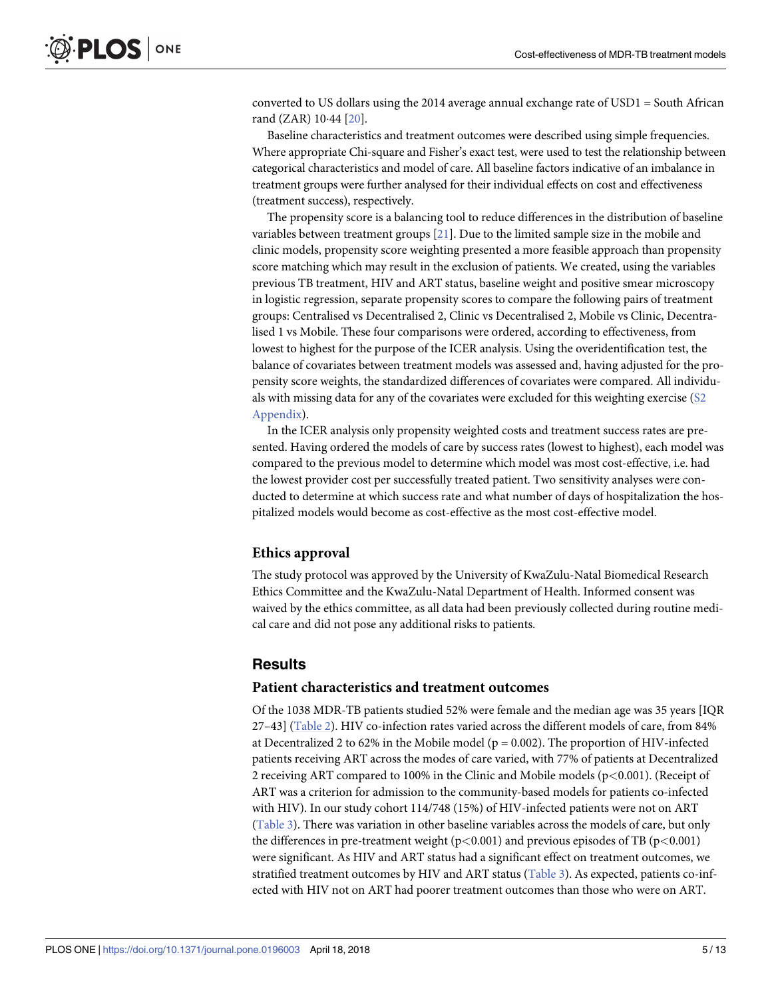<span id="page-4-0"></span>converted to US dollars using the 2014 average annual exchange rate of USD1 = South African rand (ZAR) 10-44 [\[20\]](#page-11-0).

Baseline characteristics and treatment outcomes were described using simple frequencies. Where appropriate Chi-square and Fisher's exact test, were used to test the relationship between categorical characteristics and model of care. All baseline factors indicative of an imbalance in treatment groups were further analysed for their individual effects on cost and effectiveness (treatment success), respectively.

The propensity score is a balancing tool to reduce differences in the distribution of baseline variables between treatment groups [[21](#page-11-0)]. Due to the limited sample size in the mobile and clinic models, propensity score weighting presented a more feasible approach than propensity score matching which may result in the exclusion of patients. We created, using the variables previous TB treatment, HIV and ART status, baseline weight and positive smear microscopy in logistic regression, separate propensity scores to compare the following pairs of treatment groups: Centralised vs Decentralised 2, Clinic vs Decentralised 2, Mobile vs Clinic, Decentralised 1 vs Mobile. These four comparisons were ordered, according to effectiveness, from lowest to highest for the purpose of the ICER analysis. Using the overidentification test, the balance of covariates between treatment models was assessed and, having adjusted for the propensity score weights, the standardized differences of covariates were compared. All individuals with missing data for any of the covariates were excluded for this weighting exercise ([S2](#page-10-0) [Appendix\)](#page-10-0).

In the ICER analysis only propensity weighted costs and treatment success rates are presented. Having ordered the models of care by success rates (lowest to highest), each model was compared to the previous model to determine which model was most cost-effective, i.e. had the lowest provider cost per successfully treated patient. Two sensitivity analyses were conducted to determine at which success rate and what number of days of hospitalization the hospitalized models would become as cost-effective as the most cost-effective model.

# **Ethics approval**

The study protocol was approved by the University of KwaZulu-Natal Biomedical Research Ethics Committee and the KwaZulu-Natal Department of Health. Informed consent was waived by the ethics committee, as all data had been previously collected during routine medical care and did not pose any additional risks to patients.

# **Results**

#### **Patient characteristics and treatment outcomes**

Of the 1038 MDR-TB patients studied 52% were female and the median age was 35 years [IQR 27–43] [\(Table](#page-5-0) 2). HIV co-infection rates varied across the different models of care, from 84% at Decentralized 2 to 62% in the Mobile model ( $p = 0.002$ ). The proportion of HIV-infected patients receiving ART across the modes of care varied, with 77% of patients at Decentralized 2 receiving ART compared to 100% in the Clinic and Mobile models (p*<*0.001). (Receipt of ART was a criterion for admission to the community-based models for patients co-infected with HIV). In our study cohort 114/748 (15%) of HIV-infected patients were not on ART [\(Table](#page-6-0) 3). There was variation in other baseline variables across the models of care, but only the differences in pre-treatment weight (p*<*0.001) and previous episodes of TB (p*<*0.001) were significant. As HIV and ART status had a significant effect on treatment outcomes, we stratified treatment outcomes by HIV and ART status ([Table](#page-6-0) 3). As expected, patients co-infected with HIV not on ART had poorer treatment outcomes than those who were on ART.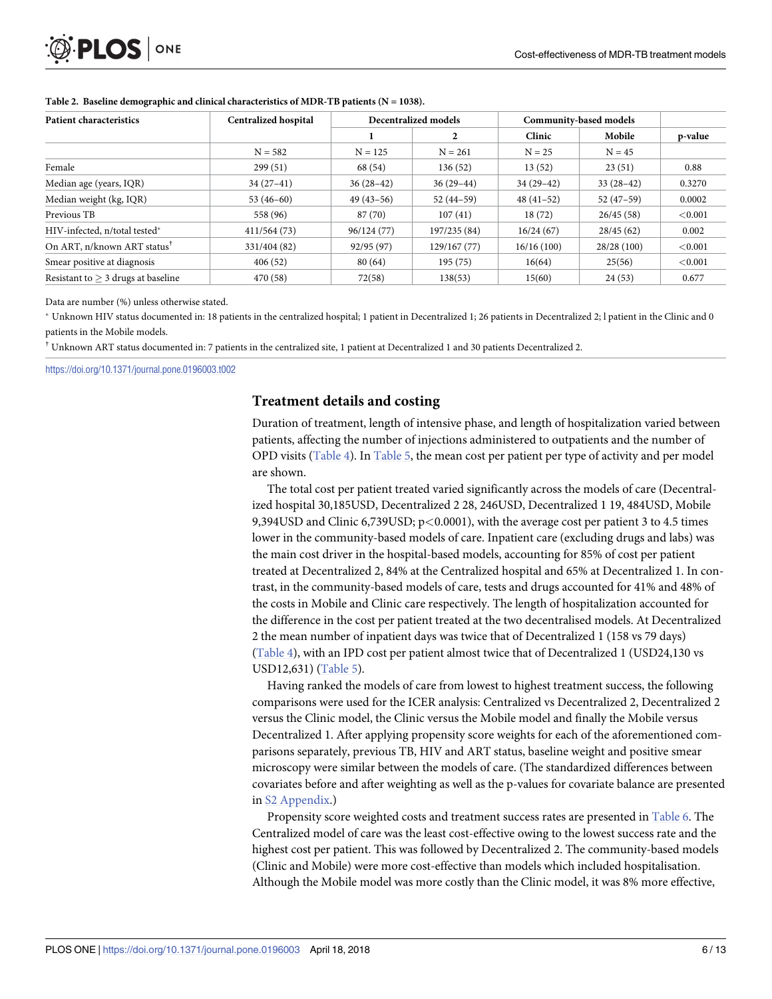<span id="page-5-0"></span>

| <b>Patient characteristics</b>          | <b>Centralized hospital</b> |             | Decentralized models | <b>Community-based models</b> |             |         |
|-----------------------------------------|-----------------------------|-------------|----------------------|-------------------------------|-------------|---------|
|                                         |                             |             | $\mathbf{2}$         | Clinic                        | Mobile      | p-value |
|                                         | $N = 582$                   | $N = 125$   | $N = 261$            | $N = 25$                      | $N = 45$    |         |
| Female                                  | 299(51)                     | 68 (54)     | 136(52)              | 13(52)                        | 23(51)      | 0.88    |
| Median age (years, IQR)                 | $34(27-41)$                 | $36(28-42)$ | $36(29-44)$          | $34(29-42)$                   | $33(28-42)$ | 0.3270  |
| Median weight (kg, IQR)                 | $53(46-60)$                 | $49(43-56)$ | $52(44-59)$          | $48(41-52)$                   | $52(47-59)$ | 0.0002  |
| Previous TB                             | 558 (96)                    | 87 (70)     | 107(41)              | 18(72)                        | 26/45(58)   | < 0.001 |
| HIV-infected, n/total tested*           | 411/564(73)                 | 96/124 (77) | 197/235 (84)         | 16/24(67)                     | 28/45(62)   | 0.002   |
| On ART, n/known ART status <sup>†</sup> | 331/404 (82)                | 92/95 (97)  | 129/167 (77)         | 16/16(100)                    | 28/28 (100) | < 0.001 |
| Smear positive at diagnosis             | 406(52)                     | 80(64)      | 195(75)              | 16(64)                        | 25(56)      | < 0.001 |
| Resistant to $>$ 3 drugs at baseline    | 470 (58)                    | 72(58)      | 138(53)              | 15(60)                        | 24(53)      | 0.677   |

#### **[Table](#page-4-0) 2. Baseline demographic and clinical characteristics of MDR-TB patients (N = 1038).**

Data are number (%) unless otherwise stated.

 Unknown HIV status documented in: 18 patients in the centralized hospital; 1 patient in Decentralized 1; 26 patients in Decentralized 2; l patient in the Clinic and 0 patients in the Mobile models.

 $^\dagger$  Unknown ART status documented in: 7 patients in the centralized site, 1 patient at Decentralized 1 and 30 patients Decentralized 2.

<https://doi.org/10.1371/journal.pone.0196003.t002>

#### **Treatment details and costing**

Duration of treatment, length of intensive phase, and length of hospitalization varied between patients, affecting the number of injections administered to outpatients and the number of OPD visits [\(Table](#page-7-0) 4). In [Table](#page-7-0) 5, the mean cost per patient per type of activity and per model are shown.

The total cost per patient treated varied significantly across the models of care (Decentralized hospital 30,185USD, Decentralized 2 28, 246USD, Decentralized 1 19, 484USD, Mobile 9,394USD and Clinic 6,739USD; p*<*0.0001), with the average cost per patient 3 to 4.5 times lower in the community-based models of care. Inpatient care (excluding drugs and labs) was the main cost driver in the hospital-based models, accounting for 85% of cost per patient treated at Decentralized 2, 84% at the Centralized hospital and 65% at Decentralized 1. In contrast, in the community-based models of care, tests and drugs accounted for 41% and 48% of the costs in Mobile and Clinic care respectively. The length of hospitalization accounted for the difference in the cost per patient treated at the two decentralised models. At Decentralized 2 the mean number of inpatient days was twice that of Decentralized 1 (158 vs 79 days) [\(Table](#page-7-0) 4), with an IPD cost per patient almost twice that of Decentralized 1 (USD24,130 vs USD12,631) [\(Table](#page-7-0) 5).

Having ranked the models of care from lowest to highest treatment success, the following comparisons were used for the ICER analysis: Centralized vs Decentralized 2, Decentralized 2 versus the Clinic model, the Clinic versus the Mobile model and finally the Mobile versus Decentralized 1. After applying propensity score weights for each of the aforementioned comparisons separately, previous TB, HIV and ART status, baseline weight and positive smear microscopy were similar between the models of care. (The standardized differences between covariates before and after weighting as well as the p-values for covariate balance are presented in S2 [Appendix.](#page-10-0))

Propensity score weighted costs and treatment success rates are presented in [Table](#page-8-0) 6. The Centralized model of care was the least cost-effective owing to the lowest success rate and the highest cost per patient. This was followed by Decentralized 2. The community-based models (Clinic and Mobile) were more cost-effective than models which included hospitalisation. Although the Mobile model was more costly than the Clinic model, it was 8% more effective,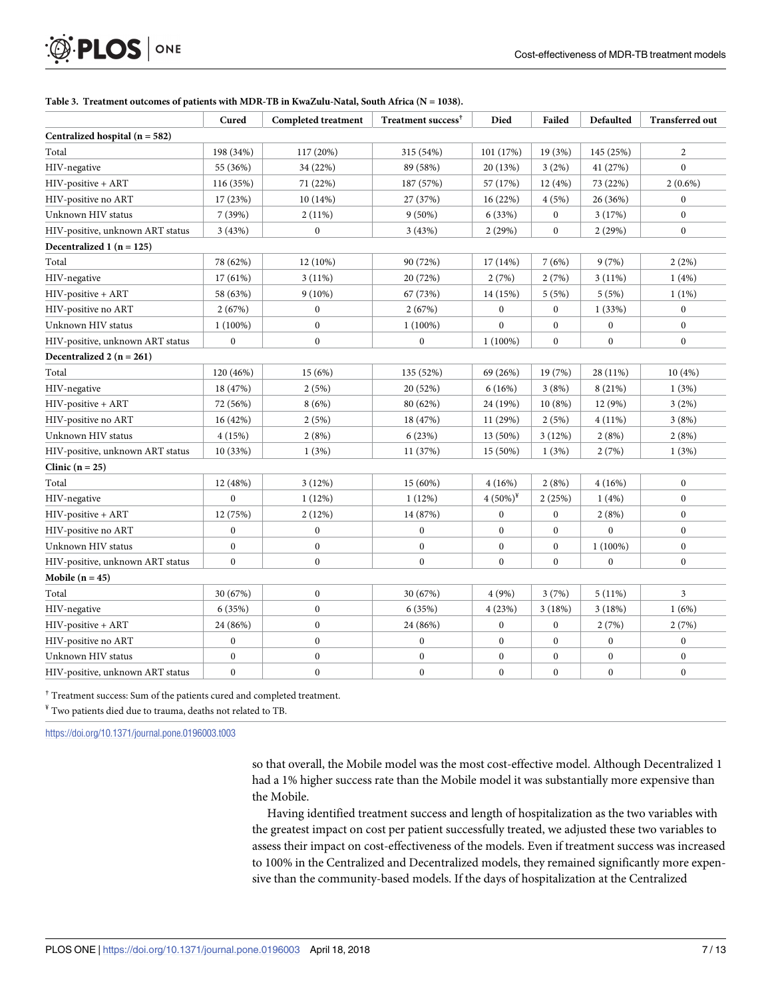<span id="page-6-0"></span>

#### **[Table](#page-4-0) 3. Treatment outcomes of patients with MDR-TB in KwaZulu-Natal, South Africa (N = 1038).**

|                                    | Cured            | <b>Completed treatment</b> | Treatment success <sup>†</sup> | <b>Died</b>             | Failed           | Defaulted        | <b>Transferred out</b> |
|------------------------------------|------------------|----------------------------|--------------------------------|-------------------------|------------------|------------------|------------------------|
| Centralized hospital ( $n = 582$ ) |                  |                            |                                |                         |                  |                  |                        |
| Total                              | 198 (34%)        | 117 (20%)                  | 315 (54%)                      | 101 (17%)               | 19 (3%)          | 145 (25%)        | $\overline{2}$         |
| HIV-negative                       | 55 (36%)         | 34 (22%)                   | 89 (58%)                       | 20 (13%)                | 3(2%)            | 41 (27%)         | $\theta$               |
| HIV-positive + ART                 | 116 (35%)        | 71 (22%)                   | 187 (57%)                      | 57 (17%)                | 12(4%)           | 73 (22%)         | $2(0.6\%)$             |
| HIV-positive no ART                | 17(23%)          | 10(14%)                    | 27 (37%)                       | 16(22%)                 | 4(5%)            | 26 (36%)         | $\bf{0}$               |
| Unknown HIV status                 | 7(39%)           | $2(11\%)$                  | $9(50\%)$                      | 6(33%)                  | $\boldsymbol{0}$ | 3(17%)           | $\boldsymbol{0}$       |
| HIV-positive, unknown ART status   | 3(43%)           | $\overline{0}$             | 3(43%)                         | 2(29%)                  | $\overline{0}$   | 2(29%)           | $\mathbf{0}$           |
| Decentralized 1 ( $n = 125$ )      |                  |                            |                                |                         |                  |                  |                        |
| Total                              | 78 (62%)         | 12 (10%)                   | 90 (72%)                       | 17(14%)                 | 7(6%)            | 9(7%)            | 2(2%)                  |
| HIV-negative                       | 17(61%)          | $3(11\%)$                  | 20 (72%)                       | 2(7%)                   | 2(7%)            | $3(11\%)$        | 1(4%)                  |
| HIV-positive + ART                 | 58 (63%)         | $9(10\%)$                  | 67 (73%)                       | 14 (15%)                | 5(5%)            | 5(5%)            | $1(1\%)$               |
| HIV-positive no ART                | 2(67%)           | $\overline{0}$             | 2(67%)                         | $\boldsymbol{0}$        | $\overline{0}$   | 1(33%)           | $\bf{0}$               |
| Unknown HIV status                 | $1(100\%)$       | $\overline{0}$             | $1(100\%)$                     | $\boldsymbol{0}$        | $\boldsymbol{0}$ | 0                | $\boldsymbol{0}$       |
| HIV-positive, unknown ART status   | $\bf{0}$         | $\boldsymbol{0}$           | $\boldsymbol{0}$               | $1(100\%)$              | $\boldsymbol{0}$ | $\boldsymbol{0}$ | $\boldsymbol{0}$       |
| Decentralized 2 ( $n = 261$ )      |                  |                            |                                |                         |                  |                  |                        |
| Total                              | 120 (46%)        | 15 (6%)                    | 135 (52%)                      | 69 (26%)                | 19 (7%)          | 28 (11%)         | 10(4%)                 |
| HIV-negative                       | 18 (47%)         | 2(5%)                      | 20 (52%)                       | 6(16%)                  | 3(8%)            | 8(21%)           | 1(3%)                  |
| HIV-positive + ART                 | 72 (56%)         | 8(6%)                      | 80 (62%)                       | 24 (19%)                | 10(8%)           | 12(9%)           | 3(2%)                  |
| HIV-positive no ART                | 16(42%)          | 2(5%)                      | 18 (47%)                       | 11 (29%)                | 2(5%)            | $4(11\%)$        | 3(8%)                  |
| Unknown HIV status                 | 4(15%)           | 2(8%)                      | 6(23%)                         | 13 (50%)                | 3(12%)           | 2(8%)            | 2(8%)                  |
| HIV-positive, unknown ART status   | 10 (33%)         | 1(3%)                      | 11 (37%)                       | 15 (50%)                | 1(3%)            | 2(7%)            | 1(3%)                  |
| Clinic $(n = 25)$                  |                  |                            |                                |                         |                  |                  |                        |
| Total                              | 12 (48%)         | 3(12%)                     | 15 (60%)                       | 4(16%)                  | 2(8%)            | 4(16%)           | $\boldsymbol{0}$       |
| HIV-negative                       | $\overline{0}$   | 1(12%)                     | 1(12%)                         | $4(50\%)^{\frac{1}{4}}$ | 2(25%)           | 1(4%)            | $\boldsymbol{0}$       |
| HIV-positive + ART                 | 12 (75%)         | 2(12%)                     | 14 (87%)                       | $\boldsymbol{0}$        | $\overline{0}$   | 2(8%)            | $\mathbf{0}$           |
| HIV-positive no ART                | $\mathbf{0}$     | $\overline{0}$             | $\mathbf{0}$                   | $\overline{0}$          | $\overline{0}$   | $\overline{0}$   | $\mathbf{0}$           |
| Unknown HIV status                 | $\boldsymbol{0}$ | $\overline{0}$             | $\boldsymbol{0}$               | $\boldsymbol{0}$        | 0                | $1(100\%)$       | $\boldsymbol{0}$       |
| HIV-positive, unknown ART status   | $\mathbf{0}$     | $\boldsymbol{0}$           | $\mathbf{0}$                   | $\boldsymbol{0}$        | $\boldsymbol{0}$ | $\boldsymbol{0}$ | $\boldsymbol{0}$       |
| Mobile $(n = 45)$                  |                  |                            |                                |                         |                  |                  |                        |
| Total                              | 30 (67%)         | $\mathbf{0}$               | 30 (67%)                       | 4(9%)                   | 3(7%)            | 5(11%)           | 3                      |
| HIV-negative                       | 6 (35%)          | $\boldsymbol{0}$           | 6(35%)                         | 4(23%)                  | 3(18%)           | 3(18%)           | 1(6%)                  |
| HIV-positive + ART                 | 24 (86%)         | $\boldsymbol{0}$           | 24 (86%)                       | $\bf{0}$                | $\boldsymbol{0}$ | 2(7%)            | 2(7%)                  |
| HIV-positive no ART                | $\boldsymbol{0}$ | $\overline{0}$             | $\boldsymbol{0}$               | $\boldsymbol{0}$        | $\boldsymbol{0}$ | $\boldsymbol{0}$ | $\bf{0}$               |
| Unknown HIV status                 | $\mathbf{0}$     | $\boldsymbol{0}$           | $\mathbf{0}$                   | $\boldsymbol{0}$        | $\boldsymbol{0}$ | $\boldsymbol{0}$ | $\boldsymbol{0}$       |
| HIV-positive, unknown ART status   | $\mathbf{0}$     | $\mathbf{0}$               | $\mathbf{0}$                   | $\boldsymbol{0}$        | $\boldsymbol{0}$ | $\boldsymbol{0}$ | $\mathbf{0}$           |

† Treatment success: Sum of the patients cured and completed treatment.

 $\rm ^{4}$  Two patients died due to trauma, deaths not related to TB.

<https://doi.org/10.1371/journal.pone.0196003.t003>

so that overall, the Mobile model was the most cost-effective model. Although Decentralized 1 had a 1% higher success rate than the Mobile model it was substantially more expensive than the Mobile.

Having identified treatment success and length of hospitalization as the two variables with the greatest impact on cost per patient successfully treated, we adjusted these two variables to assess their impact on cost-effectiveness of the models. Even if treatment success was increased to 100% in the Centralized and Decentralized models, they remained significantly more expensive than the community-based models. If the days of hospitalization at the Centralized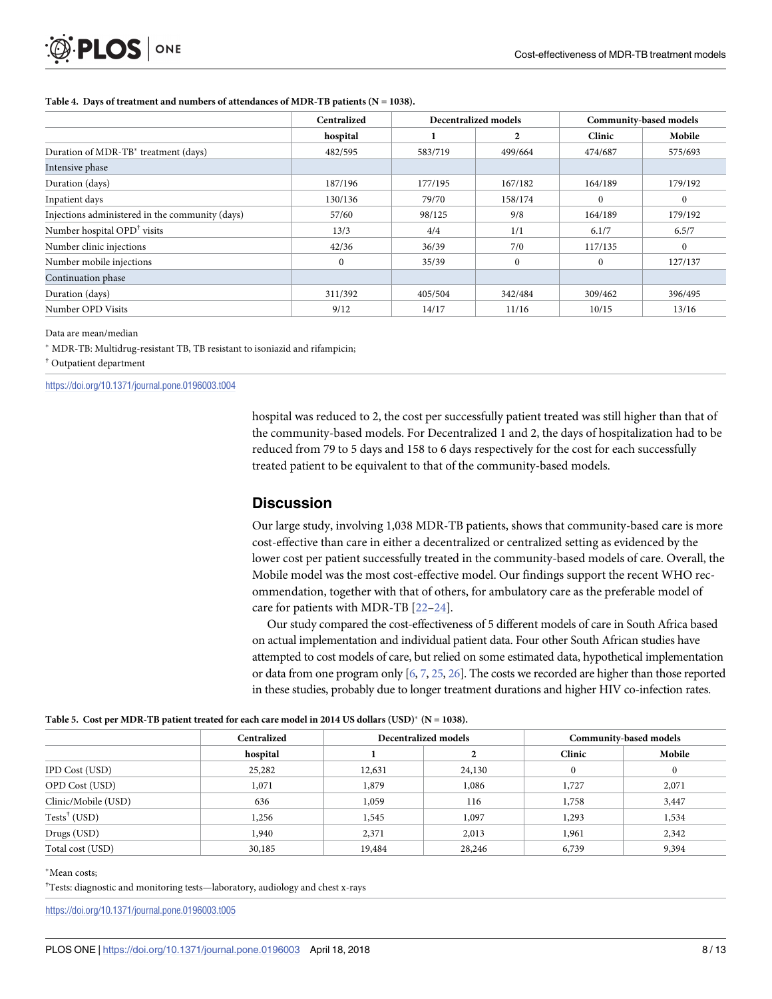#### **[Table](#page-5-0) 4. Days of treatment and numbers of attendances of MDR-TB patients (N = 1038).**

|                                                 | Centralized  |         | <b>Decentralized models</b> | <b>Community-based models</b> |              |
|-------------------------------------------------|--------------|---------|-----------------------------|-------------------------------|--------------|
|                                                 | hospital     |         | $\overline{2}$              | Clinic                        | Mobile       |
| Duration of MDR-TB* treatment (days)            | 482/595      | 583/719 | 499/664                     | 474/687                       | 575/693      |
| Intensive phase                                 |              |         |                             |                               |              |
| Duration (days)                                 | 187/196      | 177/195 | 167/182                     | 164/189                       | 179/192      |
| Inpatient days                                  | 130/136      | 79/70   | 158/174                     | $\Omega$                      | $\mathbf{0}$ |
| Injections administered in the community (days) | 57/60        | 98/125  | 9/8                         | 164/189                       | 179/192      |
| Number hospital OPD <sup>†</sup> visits         | 13/3         | 4/4     | 1/1                         | 6.1/7                         | 6.5/7        |
| Number clinic injections                        | 42/36        | 36/39   | 7/0                         | 117/135                       | $\mathbf{0}$ |
| Number mobile injections                        | $\mathbf{0}$ | 35/39   | $\Omega$                    | $\Omega$                      | 127/137      |
| Continuation phase                              |              |         |                             |                               |              |
| Duration (days)                                 | 311/392      | 405/504 | 342/484                     | 309/462                       | 396/495      |
| Number OPD Visits                               | 9/12         | 14/17   | 11/16                       | 10/15                         | 13/16        |

#### Data are mean/median

MDR-TB: Multidrug-resistant TB, TB resistant to isoniazid and rifampicin;

† Outpatient department

<https://doi.org/10.1371/journal.pone.0196003.t004>

<span id="page-7-0"></span>PLOS ONE

hospital was reduced to 2, the cost per successfully patient treated was still higher than that of the community-based models. For Decentralized 1 and 2, the days of hospitalization had to be reduced from 79 to 5 days and 158 to 6 days respectively for the cost for each successfully treated patient to be equivalent to that of the community-based models.

#### **Discussion**

Our large study, involving 1,038 MDR-TB patients, shows that community-based care is more cost-effective than care in either a decentralized or centralized setting as evidenced by the lower cost per patient successfully treated in the community-based models of care. Overall, the Mobile model was the most cost-effective model. Our findings support the recent WHO recommendation, together with that of others, for ambulatory care as the preferable model of care for patients with MDR-TB [[22](#page-11-0)[–24\]](#page-12-0).

Our study compared the cost-effectiveness of 5 different models of care in South Africa based on actual implementation and individual patient data. Four other South African studies have attempted to cost models of care, but relied on some estimated data, hypothetical implementation or data from one program only [[6](#page-11-0), [7](#page-11-0), [25,](#page-12-0) [26\]](#page-12-0). The costs we recorded are higher than those reported in these studies, probably due to longer treatment durations and higher HIV co-infection rates.

| Table 5. Cost per MDR-TB patient treated for each care model in 2014 US dollars (USD)* ( $N = 1038$ ). |
|--------------------------------------------------------------------------------------------------------|
|--------------------------------------------------------------------------------------------------------|

|                          | Centralized |        | Decentralized models | <b>Community-based models</b> |        |  |
|--------------------------|-------------|--------|----------------------|-------------------------------|--------|--|
|                          | hospital    |        |                      | Clinic                        | Mobile |  |
| <b>IPD Cost (USD)</b>    | 25,282      | 12,631 | 24,130               | 0                             | 0      |  |
| OPD Cost (USD)           | 1,071       | 1,879  | 1,086                | 1,727                         | 2,071  |  |
| Clinic/Mobile (USD)      | 636         | 1,059  | 116                  | 1,758                         | 3,447  |  |
| Tests <sup>†</sup> (USD) | 1,256       | 1,545  | 1,097                | 1,293                         | 1,534  |  |
| Drugs (USD)              | 1,940       | 2,371  | 2,013                | 1,961                         | 2,342  |  |
| Total cost (USD)         | 30,185      | 19,484 | 28,246               | 6,739                         | 9,394  |  |

#### Mean costs;

† Tests: diagnostic and monitoring tests—laboratory, audiology and chest x-rays

<https://doi.org/10.1371/journal.pone.0196003.t005>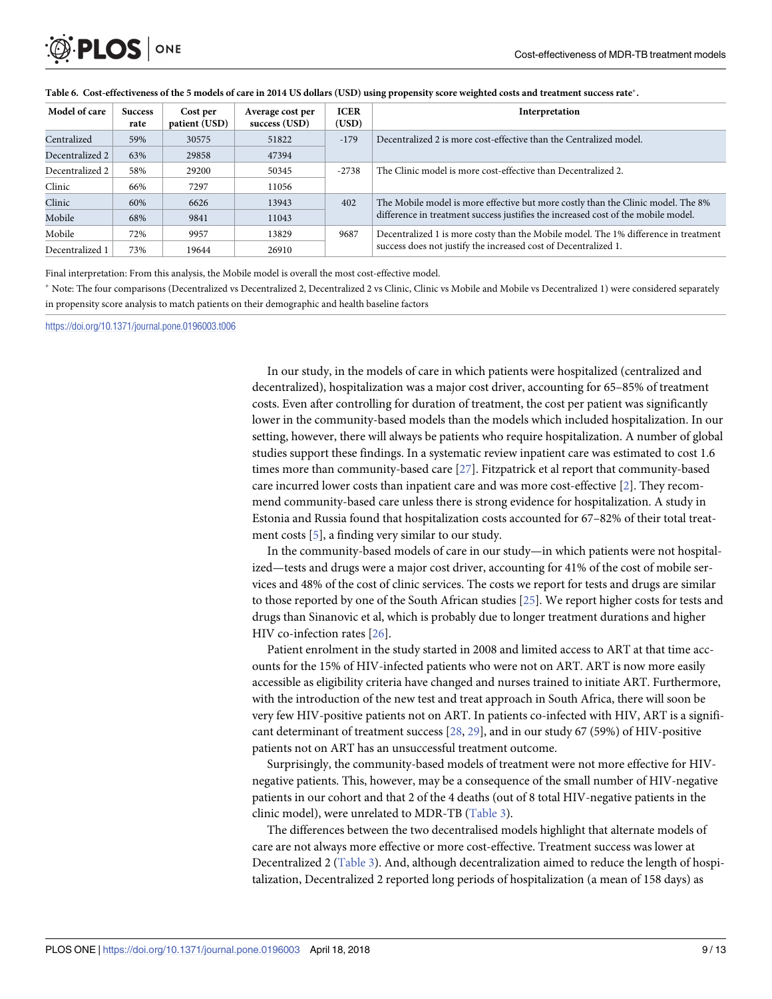<span id="page-8-0"></span>

| Model of care   | <b>Success</b><br>rate | Cost per<br>patient (USD) | Average cost per<br>success (USD) | <b>ICER</b><br>(USD) | Interpretation                                                                      |
|-----------------|------------------------|---------------------------|-----------------------------------|----------------------|-------------------------------------------------------------------------------------|
| Centralized     | 59%                    | 30575                     | 51822                             | $-179$               | Decentralized 2 is more cost-effective than the Centralized model.                  |
| Decentralized 2 | 63%                    | 29858                     | 47394                             |                      |                                                                                     |
| Decentralized 2 | 58%                    | 29200                     | 50345                             | $-2738$              | The Clinic model is more cost-effective than Decentralized 2.                       |
| Clinic          | 66%                    | 7297                      | 11056                             |                      |                                                                                     |
| Clinic          | 60%                    | 6626                      | 13943                             | 402                  | The Mobile model is more effective but more costly than the Clinic model. The 8%    |
| Mobile          | 68%                    | 9841                      | 11043                             |                      | difference in treatment success justifies the increased cost of the mobile model.   |
| Mobile          | 72%                    | 9957                      | 13829                             | 9687                 | Decentralized 1 is more costy than the Mobile model. The 1% difference in treatment |
| Decentralized 1 | 73%                    | 19644                     | 26910                             |                      | success does not justify the increased cost of Decentralized 1.                     |

#### [Table](#page-5-0) 6. Cost-effectiveness of the 5 models of care in 2014 US dollars (USD) using propensity score weighted costs and treatment success rate\*.

Final interpretation: From this analysis, the Mobile model is overall the most cost-effective model.

\* Note: The four comparisons (Decentralized vs Decentralized 2, Decentralized 2 vs Clinic, Clinic vs Mobile and Mobile vs Decentralized 1) were considered separately in propensity score analysis to match patients on their demographic and health baseline factors

<https://doi.org/10.1371/journal.pone.0196003.t006>

In our study, in the models of care in which patients were hospitalized (centralized and decentralized), hospitalization was a major cost driver, accounting for 65–85% of treatment costs. Even after controlling for duration of treatment, the cost per patient was significantly lower in the community-based models than the models which included hospitalization. In our setting, however, there will always be patients who require hospitalization. A number of global studies support these findings. In a systematic review inpatient care was estimated to cost 1.6 times more than community-based care [[27](#page-12-0)]. Fitzpatrick et al report that community-based care incurred lower costs than inpatient care and was more cost-effective [[2](#page-11-0)]. They recommend community-based care unless there is strong evidence for hospitalization. A study in Estonia and Russia found that hospitalization costs accounted for 67–82% of their total treatment costs [\[5\]](#page-11-0), a finding very similar to our study.

In the community-based models of care in our study—in which patients were not hospitalized—tests and drugs were a major cost driver, accounting for 41% of the cost of mobile services and 48% of the cost of clinic services. The costs we report for tests and drugs are similar to those reported by one of the South African studies [\[25\]](#page-12-0). We report higher costs for tests and drugs than Sinanovic et al, which is probably due to longer treatment durations and higher HIV co-infection rates [\[26\]](#page-12-0).

Patient enrolment in the study started in 2008 and limited access to ART at that time accounts for the 15% of HIV-infected patients who were not on ART. ART is now more easily accessible as eligibility criteria have changed and nurses trained to initiate ART. Furthermore, with the introduction of the new test and treat approach in South Africa, there will soon be very few HIV-positive patients not on ART. In patients co-infected with HIV, ART is a significant determinant of treatment success [\[28](#page-12-0), [29](#page-12-0)], and in our study 67 (59%) of HIV-positive patients not on ART has an unsuccessful treatment outcome.

Surprisingly, the community-based models of treatment were not more effective for HIVnegative patients. This, however, may be a consequence of the small number of HIV-negative patients in our cohort and that 2 of the 4 deaths (out of 8 total HIV-negative patients in the clinic model), were unrelated to MDR-TB [\(Table](#page-6-0) 3).

The differences between the two decentralised models highlight that alternate models of care are not always more effective or more cost-effective. Treatment success was lower at Decentralized 2 ([Table](#page-6-0) 3). And, although decentralization aimed to reduce the length of hospitalization, Decentralized 2 reported long periods of hospitalization (a mean of 158 days) as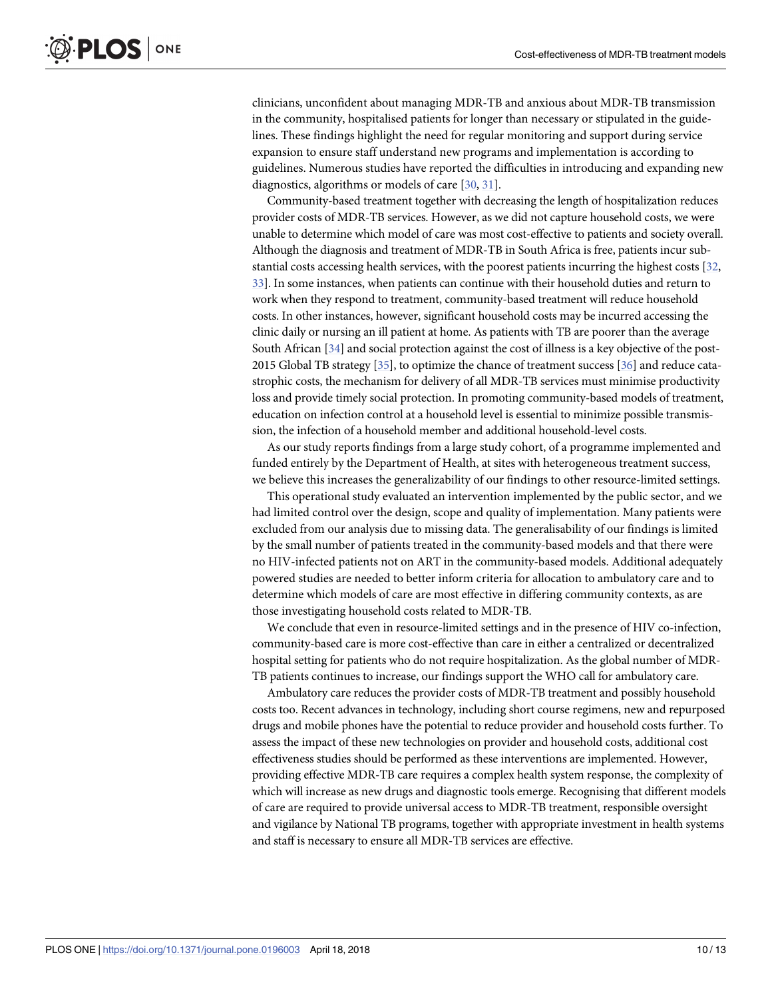<span id="page-9-0"></span>clinicians, unconfident about managing MDR-TB and anxious about MDR-TB transmission in the community, hospitalised patients for longer than necessary or stipulated in the guidelines. These findings highlight the need for regular monitoring and support during service expansion to ensure staff understand new programs and implementation is according to guidelines. Numerous studies have reported the difficulties in introducing and expanding new diagnostics, algorithms or models of care [[30](#page-12-0), [31](#page-12-0)].

Community-based treatment together with decreasing the length of hospitalization reduces provider costs of MDR-TB services. However, as we did not capture household costs, we were unable to determine which model of care was most cost-effective to patients and society overall. Although the diagnosis and treatment of MDR-TB in South Africa is free, patients incur substantial costs accessing health services, with the poorest patients incurring the highest costs [\[32,](#page-12-0) [33](#page-12-0)]. In some instances, when patients can continue with their household duties and return to work when they respond to treatment, community-based treatment will reduce household costs. In other instances, however, significant household costs may be incurred accessing the clinic daily or nursing an ill patient at home. As patients with TB are poorer than the average South African [[34\]](#page-12-0) and social protection against the cost of illness is a key objective of the post-2015 Global TB strategy [[35\]](#page-12-0), to optimize the chance of treatment success [[36\]](#page-12-0) and reduce catastrophic costs, the mechanism for delivery of all MDR-TB services must minimise productivity loss and provide timely social protection. In promoting community-based models of treatment, education on infection control at a household level is essential to minimize possible transmission, the infection of a household member and additional household-level costs.

As our study reports findings from a large study cohort, of a programme implemented and funded entirely by the Department of Health, at sites with heterogeneous treatment success, we believe this increases the generalizability of our findings to other resource-limited settings.

This operational study evaluated an intervention implemented by the public sector, and we had limited control over the design, scope and quality of implementation. Many patients were excluded from our analysis due to missing data. The generalisability of our findings is limited by the small number of patients treated in the community-based models and that there were no HIV-infected patients not on ART in the community-based models. Additional adequately powered studies are needed to better inform criteria for allocation to ambulatory care and to determine which models of care are most effective in differing community contexts, as are those investigating household costs related to MDR-TB.

We conclude that even in resource-limited settings and in the presence of HIV co-infection, community-based care is more cost-effective than care in either a centralized or decentralized hospital setting for patients who do not require hospitalization. As the global number of MDR-TB patients continues to increase, our findings support the WHO call for ambulatory care.

Ambulatory care reduces the provider costs of MDR-TB treatment and possibly household costs too. Recent advances in technology, including short course regimens, new and repurposed drugs and mobile phones have the potential to reduce provider and household costs further. To assess the impact of these new technologies on provider and household costs, additional cost effectiveness studies should be performed as these interventions are implemented. However, providing effective MDR-TB care requires a complex health system response, the complexity of which will increase as new drugs and diagnostic tools emerge. Recognising that different models of care are required to provide universal access to MDR-TB treatment, responsible oversight and vigilance by National TB programs, together with appropriate investment in health systems and staff is necessary to ensure all MDR-TB services are effective.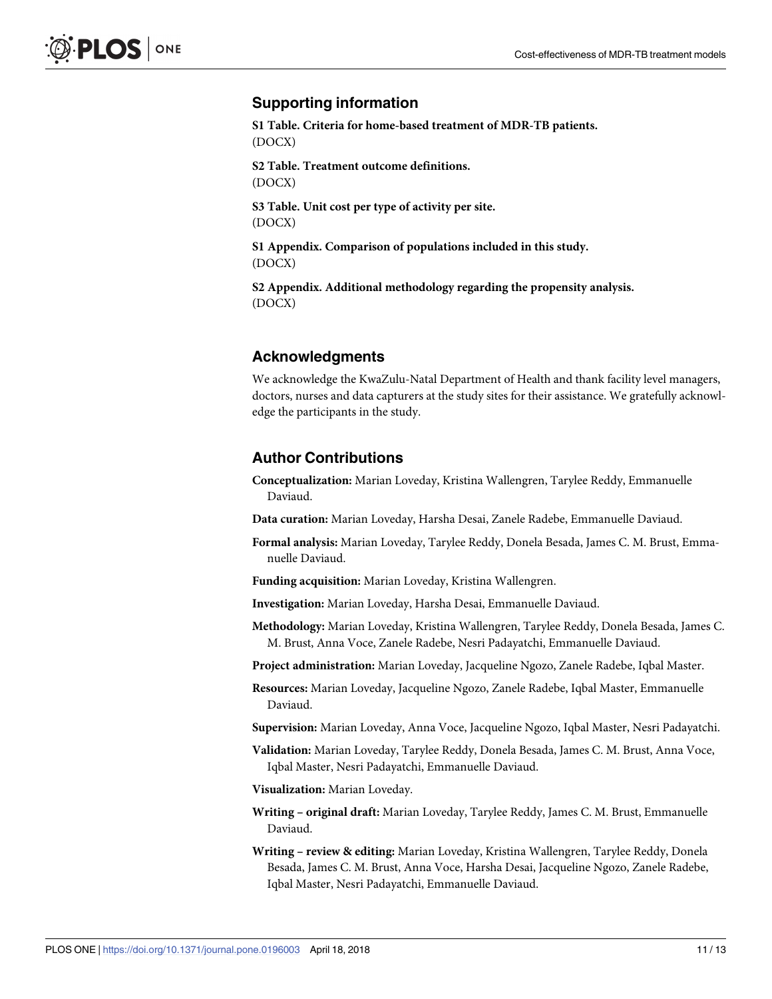# <span id="page-10-0"></span>**Supporting information**

**S1 [Table.](http://www.plosone.org/article/fetchSingleRepresentation.action?uri=info:doi/10.1371/journal.pone.0196003.s001) Criteria for home-based treatment of MDR-TB patients.** (DOCX)

**S2 [Table.](http://www.plosone.org/article/fetchSingleRepresentation.action?uri=info:doi/10.1371/journal.pone.0196003.s002) Treatment outcome definitions.** (DOCX)

**S3 [Table.](http://www.plosone.org/article/fetchSingleRepresentation.action?uri=info:doi/10.1371/journal.pone.0196003.s003) Unit cost per type of activity per site.** (DOCX)

**S1 [Appendix](http://www.plosone.org/article/fetchSingleRepresentation.action?uri=info:doi/10.1371/journal.pone.0196003.s004). Comparison of populations included in this study.** (DOCX)

**S2 [Appendix](http://www.plosone.org/article/fetchSingleRepresentation.action?uri=info:doi/10.1371/journal.pone.0196003.s005). Additional methodology regarding the propensity analysis.** (DOCX)

# **Acknowledgments**

We acknowledge the KwaZulu-Natal Department of Health and thank facility level managers, doctors, nurses and data capturers at the study sites for their assistance. We gratefully acknowledge the participants in the study.

# **Author Contributions**

**Conceptualization:** Marian Loveday, Kristina Wallengren, Tarylee Reddy, Emmanuelle Daviaud.

**Data curation:** Marian Loveday, Harsha Desai, Zanele Radebe, Emmanuelle Daviaud.

**Formal analysis:** Marian Loveday, Tarylee Reddy, Donela Besada, James C. M. Brust, Emmanuelle Daviaud.

**Funding acquisition:** Marian Loveday, Kristina Wallengren.

**Investigation:** Marian Loveday, Harsha Desai, Emmanuelle Daviaud.

**Methodology:** Marian Loveday, Kristina Wallengren, Tarylee Reddy, Donela Besada, James C. M. Brust, Anna Voce, Zanele Radebe, Nesri Padayatchi, Emmanuelle Daviaud.

**Project administration:** Marian Loveday, Jacqueline Ngozo, Zanele Radebe, Iqbal Master.

**Resources:** Marian Loveday, Jacqueline Ngozo, Zanele Radebe, Iqbal Master, Emmanuelle Daviaud.

**Supervision:** Marian Loveday, Anna Voce, Jacqueline Ngozo, Iqbal Master, Nesri Padayatchi.

**Validation:** Marian Loveday, Tarylee Reddy, Donela Besada, James C. M. Brust, Anna Voce, Iqbal Master, Nesri Padayatchi, Emmanuelle Daviaud.

**Visualization:** Marian Loveday.

**Writing – original draft:** Marian Loveday, Tarylee Reddy, James C. M. Brust, Emmanuelle Daviaud.

**Writing – review & editing:** Marian Loveday, Kristina Wallengren, Tarylee Reddy, Donela Besada, James C. M. Brust, Anna Voce, Harsha Desai, Jacqueline Ngozo, Zanele Radebe, Iqbal Master, Nesri Padayatchi, Emmanuelle Daviaud.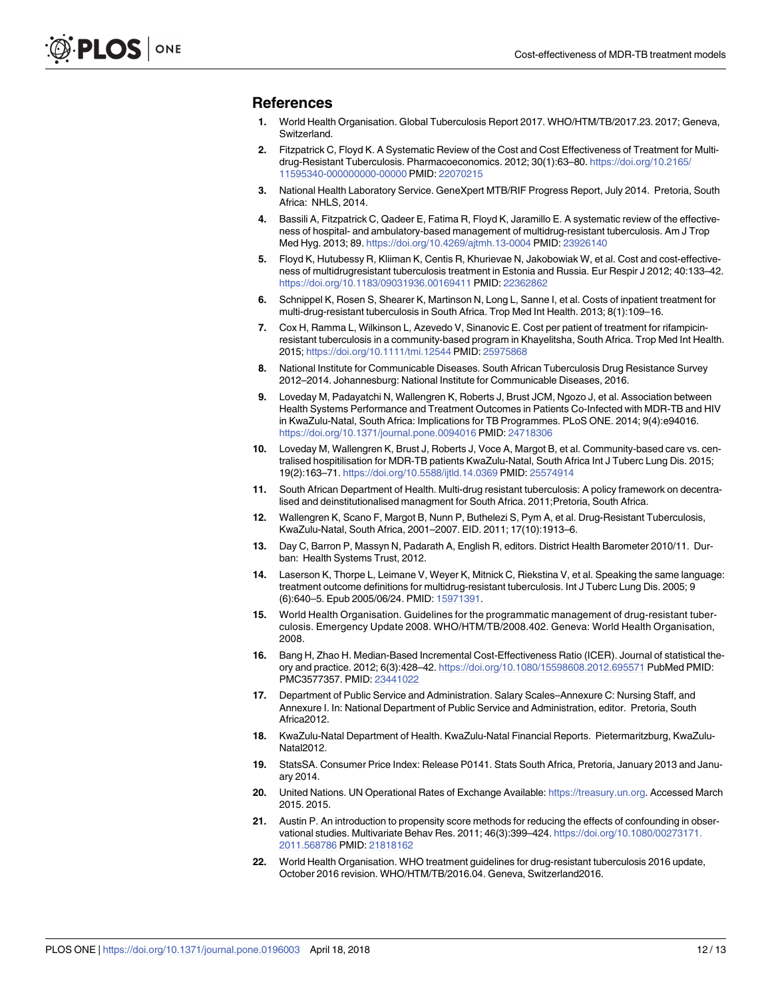### <span id="page-11-0"></span>**References**

- **[1](#page-1-0).** World Health Organisation. Global Tuberculosis Report 2017. WHO/HTM/TB/2017.23. 2017; Geneva, Switzerland.
- **[2](#page-1-0).** Fitzpatrick C, Floyd K. A Systematic Review of the Cost and Cost Effectiveness of Treatment for Multidrug-Resistant Tuberculosis. Pharmacoeconomics. 2012; 30(1):63–80. [https://doi.org/10.2165/](https://doi.org/10.2165/11595340-000000000-00000) [11595340-000000000-00000](https://doi.org/10.2165/11595340-000000000-00000) PMID: [22070215](http://www.ncbi.nlm.nih.gov/pubmed/22070215)
- **[3](#page-1-0).** National Health Laboratory Service. GeneXpert MTB/RIF Progress Report, July 2014. Pretoria, South Africa: NHLS, 2014.
- **[4](#page-1-0).** Bassili A, Fitzpatrick C, Qadeer E, Fatima R, Floyd K, Jaramillo E. A systematic review of the effectiveness of hospital- and ambulatory-based management of multidrug-resistant tuberculosis. Am J Trop Med Hyg. 2013; 89. <https://doi.org/10.4269/ajtmh.13-0004> PMID: [23926140](http://www.ncbi.nlm.nih.gov/pubmed/23926140)
- **[5](#page-8-0).** Floyd K, Hutubessy R, Kliiman K, Centis R, Khurievae N, Jakobowiak W, et al. Cost and cost-effectiveness of multidrugresistant tuberculosis treatment in Estonia and Russia. Eur Respir J 2012; 40:133–42. <https://doi.org/10.1183/09031936.00169411> PMID: [22362862](http://www.ncbi.nlm.nih.gov/pubmed/22362862)
- **[6](#page-7-0).** Schnippel K, Rosen S, Shearer K, Martinson N, Long L, Sanne I, et al. Costs of inpatient treatment for multi-drug-resistant tuberculosis in South Africa. Trop Med Int Health. 2013; 8(1):109–16.
- **[7](#page-1-0).** Cox H, Ramma L, Wilkinson L, Azevedo V, Sinanovic E. Cost per patient of treatment for rifampicinresistant tuberculosis in a community-based program in Khayelitsha, South Africa. Trop Med Int Health. 2015; <https://doi.org/10.1111/tmi.12544> PMID: [25975868](http://www.ncbi.nlm.nih.gov/pubmed/25975868)
- **[8](#page-1-0).** National Institute for Communicable Diseases. South African Tuberculosis Drug Resistance Survey 2012–2014. Johannesburg: National Institute for Communicable Diseases, 2016.
- **[9](#page-1-0).** Loveday M, Padayatchi N, Wallengren K, Roberts J, Brust JCM, Ngozo J, et al. Association between Health Systems Performance and Treatment Outcomes in Patients Co-Infected with MDR-TB and HIV in KwaZulu-Natal, South Africa: Implications for TB Programmes. PLoS ONE. 2014; 9(4):e94016. <https://doi.org/10.1371/journal.pone.0094016> PMID: [24718306](http://www.ncbi.nlm.nih.gov/pubmed/24718306)
- **[10](#page-1-0).** Loveday M, Wallengren K, Brust J, Roberts J, Voce A, Margot B, et al. Community-based care vs. centralised hospitilisation for MDR-TB patients KwaZulu-Natal, South Africa Int J Tuberc Lung Dis. 2015; 19(2):163–71. <https://doi.org/10.5588/ijtld.14.0369> PMID: [25574914](http://www.ncbi.nlm.nih.gov/pubmed/25574914)
- **[11](#page-1-0).** South African Department of Health. Multi-drug resistant tuberculosis: A policy framework on decentralised and deinstitutionalised managment for South Africa. 2011;Pretoria, South Africa.
- **[12](#page-2-0).** Wallengren K, Scano F, Margot B, Nunn P, Buthelezi S, Pym A, et al. Drug-Resistant Tuberculosis, KwaZulu-Natal, South Africa, 2001–2007. EID. 2011; 17(10):1913–6.
- **[13](#page-2-0).** Day C, Barron P, Massyn N, Padarath A, English R, editors. District Health Barometer 2010/11. Durban: Health Systems Trust, 2012.
- **[14](#page-3-0).** Laserson K, Thorpe L, Leimane V, Weyer K, Mitnick C, Riekstina V, et al. Speaking the same language: treatment outcome definitions for multidrug-resistant tuberculosis. Int J Tuberc Lung Dis. 2005; 9 (6):640–5. Epub 2005/06/24. PMID: [15971391](http://www.ncbi.nlm.nih.gov/pubmed/15971391).
- **[15](#page-3-0).** World Health Organisation. Guidelines for the programmatic management of drug-resistant tuberculosis. Emergency Update 2008. WHO/HTM/TB/2008.402. Geneva: World Health Organisation, 2008.
- **[16](#page-3-0).** Bang H, Zhao H. Median-Based Incremental Cost-Effectiveness Ratio (ICER). Journal of statistical theory and practice. 2012; 6(3):428–42. <https://doi.org/10.1080/15598608.2012.695571> PubMed PMID: PMC3577357. PMID: [23441022](http://www.ncbi.nlm.nih.gov/pubmed/23441022)
- **[17](#page-3-0).** Department of Public Service and Administration. Salary Scales–Annexure C: Nursing Staff, and Annexure I. In: National Department of Public Service and Administration, editor. Pretoria, South Africa2012.
- **[18](#page-3-0).** KwaZulu-Natal Department of Health. KwaZulu-Natal Financial Reports. Pietermaritzburg, KwaZulu-Natal2012.
- **[19](#page-3-0).** StatsSA. Consumer Price Index: Release P0141. Stats South Africa, Pretoria, January 2013 and January 2014.
- **[20](#page-4-0).** United Nations. UN Operational Rates of Exchange Available: [https://treasury.un.org.](https://treasury.un.org) Accessed March 2015. 2015.
- **[21](#page-4-0).** Austin P. An introduction to propensity score methods for reducing the effects of confounding in observational studies. Multivariate Behav Res. 2011; 46(3):399–424. [https://doi.org/10.1080/00273171.](https://doi.org/10.1080/00273171.2011.568786) [2011.568786](https://doi.org/10.1080/00273171.2011.568786) PMID: [21818162](http://www.ncbi.nlm.nih.gov/pubmed/21818162)
- **[22](#page-7-0).** World Health Organisation. WHO treatment guidelines for drug-resistant tuberculosis 2016 update, October 2016 revision. WHO/HTM/TB/2016.04. Geneva, Switzerland2016.